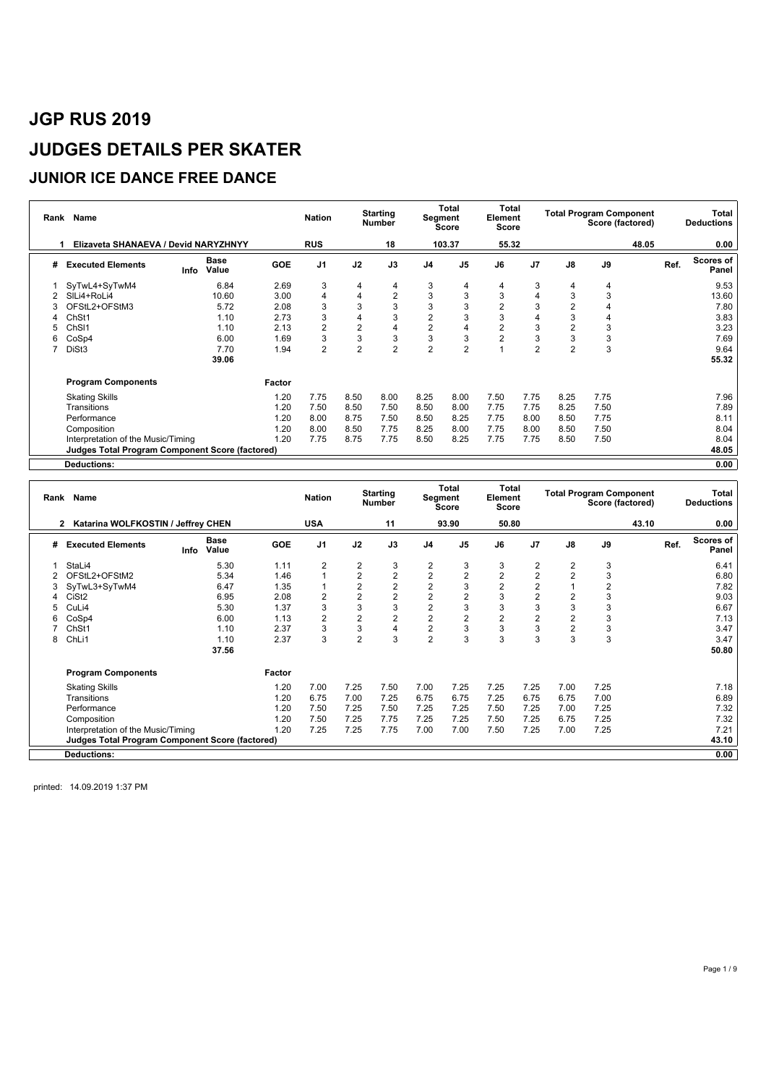### **JUNIOR ICE DANCE FREE DANCE**

| Rank | Name                                                   |                              |            | <b>Nation</b>  |                | <b>Starting</b><br><b>Number</b> | Segment        | Total<br><b>Score</b> | Total<br>Element<br>Score |                |                | <b>Total Program Component</b><br>Score (factored) |       | Total<br><b>Deductions</b>        |
|------|--------------------------------------------------------|------------------------------|------------|----------------|----------------|----------------------------------|----------------|-----------------------|---------------------------|----------------|----------------|----------------------------------------------------|-------|-----------------------------------|
|      | Elizaveta SHANAEVA / Devid NARYZHNYY                   |                              |            | <b>RUS</b>     |                | 18                               |                | 103.37                | 55.32                     |                |                |                                                    | 48.05 | 0.00                              |
| #    | <b>Executed Elements</b>                               | <b>Base</b><br>Value<br>Info | <b>GOE</b> | J <sub>1</sub> | J2             | J3                               | J <sub>4</sub> | J <sub>5</sub>        | J6                        | J <sub>7</sub> | $\mathsf{J}8$  | J9                                                 |       | <b>Scores of</b><br>Ref.<br>Panel |
|      | SyTwL4+SyTwM4                                          | 6.84                         | 2.69       | 3              | 4              | 4                                | 3              | 4                     | 4                         | 3              | 4              | 4                                                  |       | 9.53                              |
| 2    | SILi4+RoLi4                                            | 10.60                        | 3.00       | 4              | 4              | $\overline{2}$                   | 3              | 3                     | 3                         | 4              | 3              | 3                                                  |       | 13.60                             |
|      | OFStL2+OFStM3                                          | 5.72                         | 2.08       | 3              | 3              | 3                                | 3              | 3                     | $\overline{2}$            | 3              |                |                                                    |       | 7.80                              |
| 4    | Ch <sub>St1</sub>                                      | 1.10                         | 2.73       | 3              | 4              | 3                                | $\overline{c}$ | 3                     | 3                         | 4              | 3              |                                                    |       | 3.83                              |
|      | Ch <sub>SI1</sub>                                      | 1.10                         | 2.13       | $\overline{2}$ | $\overline{2}$ | $\overline{4}$                   | $\overline{2}$ | 4                     | $\overline{2}$            | 3              |                | 3                                                  |       | 3.23                              |
| 6    | CoSp4                                                  | 6.00                         | 1.69       | 3              | 3              | $\sqrt{3}$                       | 3              | 3                     | $\overline{2}$            | 3              | 3              | 3                                                  |       | 7.69                              |
|      | DiSt3                                                  | 7.70                         | 1.94       | $\overline{2}$ | $\overline{2}$ | $\overline{2}$                   | $\overline{2}$ | $\overline{2}$        |                           | $\overline{2}$ | $\overline{2}$ | 3                                                  |       | 9.64                              |
|      |                                                        | 39.06                        |            |                |                |                                  |                |                       |                           |                |                |                                                    |       | 55.32                             |
|      | <b>Program Components</b>                              |                              | Factor     |                |                |                                  |                |                       |                           |                |                |                                                    |       |                                   |
|      | <b>Skating Skills</b>                                  |                              | 1.20       | 7.75           | 8.50           | 8.00                             | 8.25           | 8.00                  | 7.50                      | 7.75           | 8.25           | 7.75                                               |       | 7.96                              |
|      | Transitions                                            |                              | 1.20       | 7.50           | 8.50           | 7.50                             | 8.50           | 8.00                  | 7.75                      | 7.75           | 8.25           | 7.50                                               |       | 7.89                              |
|      | Performance                                            |                              | 1.20       | 8.00           | 8.75           | 7.50                             | 8.50           | 8.25                  | 7.75                      | 8.00           | 8.50           | 7.75                                               |       | 8.11                              |
|      | Composition                                            |                              | 1.20       | 8.00           | 8.50           | 7.75                             | 8.25           | 8.00                  | 7.75                      | 8.00           | 8.50           | 7.50                                               |       | 8.04                              |
|      | Interpretation of the Music/Timing                     |                              | 1.20       | 7.75           | 8.75           | 7.75                             | 8.50           | 8.25                  | 7.75                      | 7.75           | 8.50           | 7.50                                               |       | 8.04                              |
|      | <b>Judges Total Program Component Score (factored)</b> |                              |            |                |                |                                  |                |                       |                           |                |                |                                                    |       | 48.05                             |
|      | <b>Deductions:</b>                                     |                              |            |                |                |                                  |                |                       |                           |                |                |                                                    |       | 0.00                              |

|   | Rank Name                                              |                              |        | <b>Nation</b>  |                | <b>Starting</b><br><b>Number</b> | Segment        | <b>Total</b><br><b>Score</b> | Total<br>Element<br>Score |                |      | <b>Total Program Component</b><br>Score (factored) |       |      | Total<br><b>Deductions</b> |
|---|--------------------------------------------------------|------------------------------|--------|----------------|----------------|----------------------------------|----------------|------------------------------|---------------------------|----------------|------|----------------------------------------------------|-------|------|----------------------------|
|   | Katarina WOLFKOSTIN / Jeffrey CHEN<br>$\mathbf{2}$     |                              |        | <b>USA</b>     |                | 11                               |                | 93.90                        | 50.80                     |                |      |                                                    | 43.10 |      | 0.00                       |
| # | <b>Executed Elements</b>                               | <b>Base</b><br>Value<br>Info | GOE    | J <sub>1</sub> | J2             | J3                               | J <sub>4</sub> | J <sub>5</sub>               | J6                        | J <sub>7</sub> | J8   | J9                                                 |       | Ref. | Scores of<br>Panel         |
|   | StaLi4                                                 | 5.30                         | 1.11   | 2              | 2              | 3                                | $\overline{2}$ | 3                            | 3                         | 2              | 2    | 3                                                  |       |      | 6.41                       |
|   | OFStL2+OFStM2                                          | 5.34                         | 1.46   |                | 2              | $\overline{2}$                   | $\overline{2}$ | $\overline{2}$               | $\overline{2}$            | 2              | 2    | 3                                                  |       |      | 6.80                       |
| 3 | SyTwL3+SyTwM4                                          | 6.47                         | 1.35   |                | $\overline{2}$ | $\overline{2}$                   | $\overline{2}$ | 3                            | $\overline{2}$            | $\overline{2}$ |      | $\overline{2}$                                     |       |      | 7.82                       |
|   | CiSt <sub>2</sub>                                      | 6.95                         | 2.08   | $\overline{2}$ | $\overline{2}$ | $\overline{2}$                   | $\overline{2}$ | $\overline{2}$               | 3                         | $\overline{2}$ | 2    | 3                                                  |       |      | 9.03                       |
|   | CuLi4                                                  | 5.30                         | 1.37   | 3              | 3              | 3                                | $\overline{2}$ | 3                            | 3                         | 3              | 3    | 3                                                  |       |      | 6.67                       |
| 6 | CoSp4                                                  | 6.00                         | 1.13   | $\overline{2}$ | 2              | $\overline{2}$                   | $\overline{2}$ | $\overline{2}$               | 2                         | $\overline{2}$ | 2    | 3                                                  |       |      | 7.13                       |
|   | ChSt1                                                  | 1.10                         | 2.37   | 3              | 3              | 4                                | $\overline{2}$ | 3                            | 3                         | 3              | 2    | 3                                                  |       |      | 3.47                       |
| 8 | ChL <sub>i1</sub>                                      | 1.10                         | 2.37   | 3              | $\overline{2}$ | 3                                | $\overline{2}$ | 3                            | 3                         | 3              | 3    | 3                                                  |       |      | 3.47                       |
|   |                                                        | 37.56                        |        |                |                |                                  |                |                              |                           |                |      |                                                    |       |      | 50.80                      |
|   | <b>Program Components</b>                              |                              | Factor |                |                |                                  |                |                              |                           |                |      |                                                    |       |      |                            |
|   | <b>Skating Skills</b>                                  |                              | 1.20   | 7.00           | 7.25           | 7.50                             | 7.00           | 7.25                         | 7.25                      | 7.25           | 7.00 | 7.25                                               |       |      | 7.18                       |
|   | Transitions                                            |                              | 1.20   | 6.75           | 7.00           | 7.25                             | 6.75           | 6.75                         | 7.25                      | 6.75           | 6.75 | 7.00                                               |       |      | 6.89                       |
|   | Performance                                            |                              | 1.20   | 7.50           | 7.25           | 7.50                             | 7.25           | 7.25                         | 7.50                      | 7.25           | 7.00 | 7.25                                               |       |      | 7.32                       |
|   | Composition                                            |                              | 1.20   | 7.50           | 7.25           | 7.75                             | 7.25           | 7.25                         | 7.50                      | 7.25           | 6.75 | 7.25                                               |       |      | 7.32                       |
|   | Interpretation of the Music/Timing                     |                              | 1.20   | 7.25           | 7.25           | 7.75                             | 7.00           | 7.00                         | 7.50                      | 7.25           | 7.00 | 7.25                                               |       |      | 7.21                       |
|   | <b>Judges Total Program Component Score (factored)</b> |                              |        |                |                |                                  |                |                              |                           |                |      |                                                    |       |      | 43.10                      |
|   | Deductions:                                            |                              |        |                |                |                                  |                |                              |                           |                |      |                                                    |       |      | 0.00                       |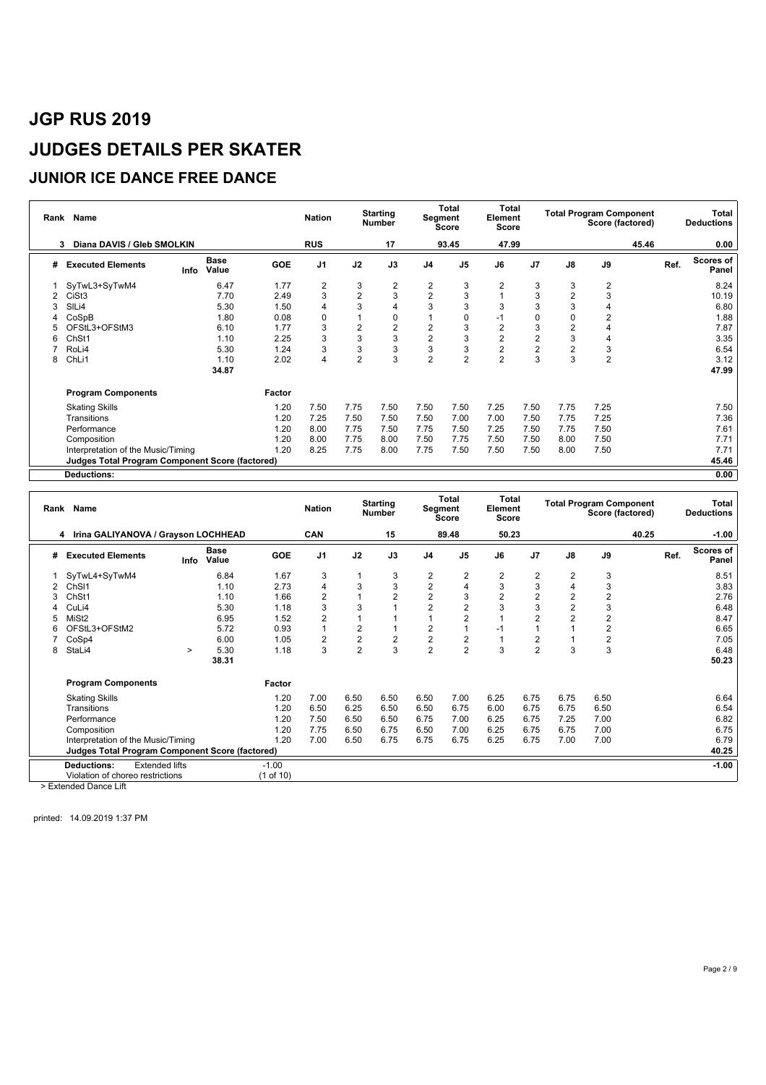### **JUNIOR ICE DANCE FREE DANCE**

| Rank | Name                                            |      |                      |            | <b>Nation</b>  |                | <b>Starting</b><br><b>Number</b> |                | <b>Total</b><br>Segment<br><b>Score</b> | Total<br>Element<br><b>Score</b> |                |                | <b>Total Program Component</b><br>Score (factored) |       |      | Total<br><b>Deductions</b> |
|------|-------------------------------------------------|------|----------------------|------------|----------------|----------------|----------------------------------|----------------|-----------------------------------------|----------------------------------|----------------|----------------|----------------------------------------------------|-------|------|----------------------------|
|      | Diana DAVIS / Gleb SMOLKIN<br>3                 |      |                      |            | <b>RUS</b>     |                | 17                               |                | 93.45                                   | 47.99                            |                |                |                                                    | 45.46 |      | 0.00                       |
| #    | <b>Executed Elements</b>                        | Info | <b>Base</b><br>Value | <b>GOE</b> | J <sub>1</sub> | J2             | J3                               | J <sub>4</sub> | J <sub>5</sub>                          | J6                               | J <sub>7</sub> | J8             | J9                                                 |       | Ref. | Scores of<br>Panel         |
|      | SyTwL3+SyTwM4                                   |      | 6.47                 | 1.77       | $\overline{2}$ | 3              | 2                                | 2              | 3                                       | $\overline{2}$                   | 3              | 3              | 2                                                  |       |      | 8.24                       |
|      | CiSt <sub>3</sub>                               |      | 7.70                 | 2.49       | 3              | 2              | 3                                | $\overline{2}$ | 3                                       |                                  | 3              | 2              | 3                                                  |       |      | 10.19                      |
|      | SILi4                                           |      | 5.30                 | 1.50       |                | 3              | 4                                | 3              | 3                                       | 3                                | 3              | 3              | 4                                                  |       |      | 6.80                       |
|      | CoSpB                                           |      | 1.80                 | 0.08       | 0              |                | 0                                |                | 0                                       | -1                               | 0              | 0              | $\overline{2}$                                     |       |      | 1.88                       |
|      | OFStL3+OFStM3                                   |      | 6.10                 | 1.77       | 3              | 2              | $\overline{c}$                   | $\overline{2}$ | 3                                       | $\overline{2}$                   | 3              | 2              | 4                                                  |       |      | 7.87                       |
| 6    | ChSt1                                           |      | 1.10                 | 2.25       | 3              | 3              | 3                                | $\overline{c}$ | 3                                       | $\overline{2}$                   | $\overline{2}$ | 3              | 4                                                  |       |      | 3.35                       |
|      | RoLi4                                           |      | 5.30                 | 1.24       | 3              | 3              | 3                                | 3              | 3                                       | $\overline{2}$                   | $\overline{2}$ | $\overline{2}$ | 3                                                  |       |      | 6.54                       |
| 8    | ChLi1                                           |      | 1.10                 | 2.02       | 4              | $\overline{2}$ | 3                                | $\overline{2}$ | $\overline{2}$                          | $\overline{2}$                   | 3              | 3              | $\overline{2}$                                     |       |      | 3.12                       |
|      |                                                 |      | 34.87                |            |                |                |                                  |                |                                         |                                  |                |                |                                                    |       |      | 47.99                      |
|      | <b>Program Components</b>                       |      |                      | Factor     |                |                |                                  |                |                                         |                                  |                |                |                                                    |       |      |                            |
|      | <b>Skating Skills</b>                           |      |                      | 1.20       | 7.50           | 7.75           | 7.50                             | 7.50           | 7.50                                    | 7.25                             | 7.50           | 7.75           | 7.25                                               |       |      | 7.50                       |
|      | Transitions                                     |      |                      | 1.20       | 7.25           | 7.50           | 7.50                             | 7.50           | 7.00                                    | 7.00                             | 7.50           | 7.75           | 7.25                                               |       |      | 7.36                       |
|      | Performance                                     |      |                      | 1.20       | 8.00           | 7.75           | 7.50                             | 7.75           | 7.50                                    | 7.25                             | 7.50           | 7.75           | 7.50                                               |       |      | 7.61                       |
|      | Composition                                     |      |                      | 1.20       | 8.00           | 7.75           | 8.00                             | 7.50           | 7.75                                    | 7.50                             | 7.50           | 8.00           | 7.50                                               |       |      | 7.71                       |
|      | Interpretation of the Music/Timing              |      |                      | 1.20       | 8.25           | 7.75           | 8.00                             | 7.75           | 7.50                                    | 7.50                             | 7.50           | 8.00           | 7.50                                               |       |      | 7.71                       |
|      | Judges Total Program Component Score (factored) |      |                      |            |                |                |                                  |                |                                         |                                  |                |                |                                                    |       |      | 45.46                      |
|      | <b>Deductions:</b>                              |      |                      |            |                |                |                                  |                |                                         |                                  |                |                |                                                    |       |      | 0.00                       |

| Rank | <b>Name</b>                                                                                       |      |                      |                      | <b>Nation</b>  |                | <b>Starting</b><br><b>Number</b> |                         | Total<br>Segment<br><b>Score</b> | <b>Total</b><br>Element<br><b>Score</b> |                         |                | <b>Total Program Component</b> | Score (factored) |      | Total<br><b>Deductions</b> |
|------|---------------------------------------------------------------------------------------------------|------|----------------------|----------------------|----------------|----------------|----------------------------------|-------------------------|----------------------------------|-----------------------------------------|-------------------------|----------------|--------------------------------|------------------|------|----------------------------|
|      | 4 Irina GALIYANOVA / Grayson LOCHHEAD                                                             |      |                      |                      | <b>CAN</b>     |                | 15                               |                         | 89.48                            | 50.23                                   |                         |                |                                | 40.25            |      | $-1.00$                    |
| #    | <b>Executed Elements</b>                                                                          | Info | <b>Base</b><br>Value | <b>GOE</b>           | J <sub>1</sub> | J2             | J3                               | J <sub>4</sub>          | J <sub>5</sub>                   | J6                                      | J7                      | J8             | J9                             |                  | Ref. | Scores of<br>Panel         |
|      | SyTwL4+SyTwM4                                                                                     |      | 6.84                 | 1.67                 | 3              |                | 3                                | $\overline{2}$          | $\overline{2}$                   | $\overline{2}$                          | 2                       | 2              | 3                              |                  |      | 8.51                       |
|      | ChSI1                                                                                             |      | 1.10                 | 2.73                 | 4              | 3              | 3                                | $\overline{\mathbf{c}}$ | $\overline{4}$                   | 3                                       | 3                       | 4              | 3                              |                  |      | 3.83                       |
| 3    | ChSt1                                                                                             |      | 1.10                 | 1.66                 | 2              |                | $\overline{2}$                   | $\overline{\mathbf{c}}$ | 3                                | $\overline{2}$                          | $\overline{c}$          | 2              | $\overline{2}$                 |                  |      | 2.76                       |
|      | CuLi4                                                                                             |      | 5.30                 | 1.18                 | 3              | 3              |                                  | $\overline{c}$          | $\overline{2}$                   | 3                                       | 3                       | $\overline{c}$ | 3                              |                  |      | 6.48                       |
|      | MiSt <sub>2</sub>                                                                                 |      | 6.95                 | 1.52                 |                |                |                                  |                         | $\overline{2}$                   |                                         | $\overline{2}$          | $\overline{2}$ | $\overline{2}$                 |                  |      | 8.47                       |
| 6    | OFStL3+OFStM2                                                                                     |      | 5.72                 | 0.93                 |                | $\overline{c}$ |                                  | $\boldsymbol{2}$        | $\overline{1}$                   | $-1$                                    |                         |                | $\overline{c}$                 |                  |      | 6.65                       |
|      | CoSp4                                                                                             |      | 6.00                 | 1.05                 |                | $\overline{2}$ | $\boldsymbol{2}$                 | $\overline{\mathbf{c}}$ | $\overline{\mathbf{c}}$          |                                         | $\overline{\mathbf{c}}$ |                | $\overline{2}$                 |                  |      | 7.05                       |
| 8    | StaLi4                                                                                            | >    | 5.30                 | 1.18                 | 3              | $\overline{2}$ | 3                                | $\overline{2}$          | $\overline{2}$                   | 3                                       | $\overline{2}$          | 3              | 3                              |                  |      | 6.48                       |
|      |                                                                                                   |      | 38.31                |                      |                |                |                                  |                         |                                  |                                         |                         |                |                                |                  |      | 50.23                      |
|      | <b>Program Components</b>                                                                         |      |                      | Factor               |                |                |                                  |                         |                                  |                                         |                         |                |                                |                  |      |                            |
|      | <b>Skating Skills</b>                                                                             |      |                      | 1.20                 | 7.00           | 6.50           | 6.50                             | 6.50                    | 7.00                             | 6.25                                    | 6.75                    | 6.75           | 6.50                           |                  |      | 6.64                       |
|      | Transitions                                                                                       |      |                      | 1.20                 | 6.50           | 6.25           | 6.50                             | 6.50                    | 6.75                             | 6.00                                    | 6.75                    | 6.75           | 6.50                           |                  |      | 6.54                       |
|      | Performance                                                                                       |      |                      | 1.20                 | 7.50           | 6.50           | 6.50                             | 6.75                    | 7.00                             | 6.25                                    | 6.75                    | 7.25           | 7.00                           |                  |      | 6.82                       |
|      | Composition                                                                                       |      |                      | 1.20                 | 7.75           | 6.50           | 6.75                             | 6.50                    | 7.00                             | 6.25                                    | 6.75                    | 6.75           | 7.00                           |                  |      | 6.75                       |
|      | Interpretation of the Music/Timing                                                                |      |                      | 1.20                 | 7.00           | 6.50           | 6.75                             | 6.75                    | 6.75                             | 6.25                                    | 6.75                    | 7.00           | 7.00                           |                  |      | 6.79                       |
|      | <b>Judges Total Program Component Score (factored)</b>                                            |      |                      |                      |                |                |                                  |                         |                                  |                                         |                         |                |                                |                  |      | 40.25                      |
|      | <b>Extended lifts</b><br>Deductions:<br>Violation of choreo restrictions<br>> Extended Dance Lift |      |                      | $-1.00$<br>(1 of 10) |                |                |                                  |                         |                                  |                                         |                         |                |                                |                  |      | $-1.00$                    |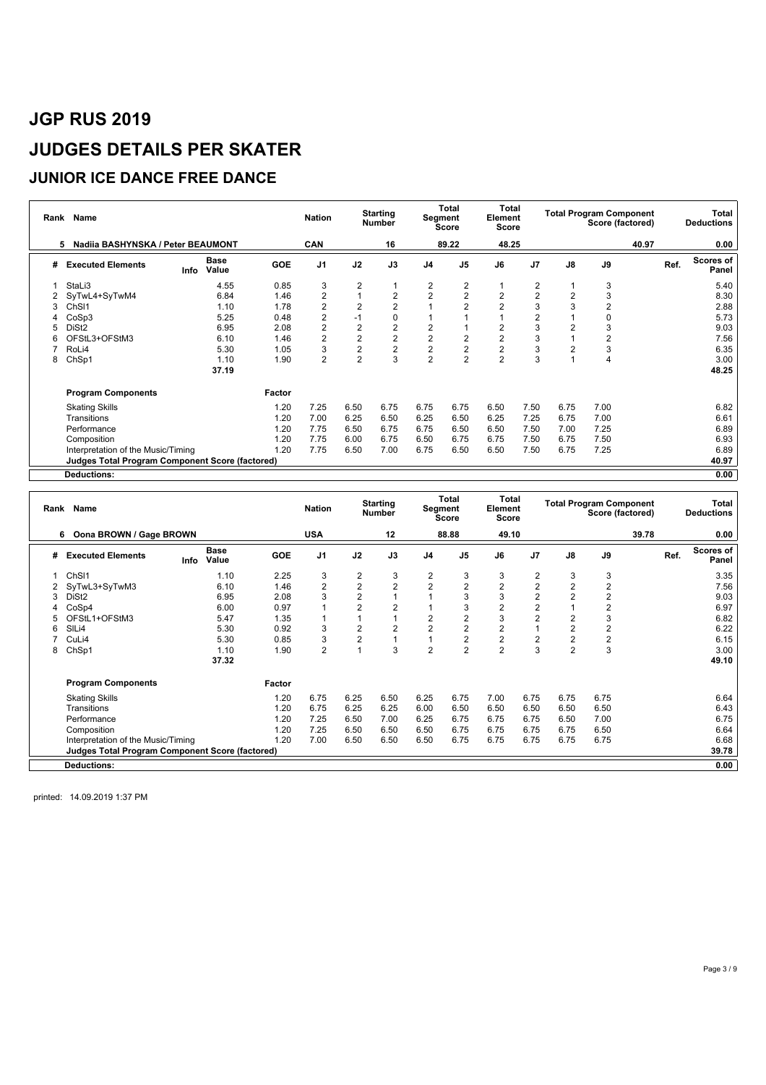### **JUNIOR ICE DANCE FREE DANCE**

| Rank | Name                                            |      |                      |        | <b>Nation</b>  |                | <b>Starting</b><br><b>Number</b> |                | Total<br>Segment<br><b>Score</b> | Total<br>Element<br>Score |                         |                | <b>Total Program Component</b><br>Score (factored) |       |      | Total<br><b>Deductions</b> |
|------|-------------------------------------------------|------|----------------------|--------|----------------|----------------|----------------------------------|----------------|----------------------------------|---------------------------|-------------------------|----------------|----------------------------------------------------|-------|------|----------------------------|
|      | Nadiia BASHYNSKA / Peter BEAUMONT<br>5          |      |                      |        | <b>CAN</b>     |                | 16                               |                | 89.22                            | 48.25                     |                         |                |                                                    | 40.97 |      | 0.00                       |
| #    | <b>Executed Elements</b>                        | Info | <b>Base</b><br>Value | GOE    | J <sub>1</sub> | J2             | J3                               | J <sub>4</sub> | J <sub>5</sub>                   | J6                        | J <sub>7</sub>          | J8             | J9                                                 |       | Ref. | Scores of<br>Panel         |
|      | StaLi3                                          |      | 4.55                 | 0.85   | 3              | 2              |                                  | $\overline{c}$ | $\overline{\mathbf{c}}$          |                           | 2                       |                | 3                                                  |       |      | 5.40                       |
|      | SyTwL4+SyTwM4                                   |      | 6.84                 | 1.46   | $\overline{2}$ |                | $\overline{2}$                   | $\sqrt{2}$     | $\overline{2}$                   | $\overline{2}$            | $\overline{2}$          | $\overline{2}$ | 3                                                  |       |      | 8.30                       |
|      | Ch <sub>SI1</sub>                               |      | 1.10                 | 1.78   | $\overline{2}$ | 2              | $\overline{2}$                   |                | $\overline{2}$                   | $\overline{2}$            | 3                       | 3              | $\overline{2}$                                     |       |      | 2.88                       |
|      | CoSp3                                           |      | 5.25                 | 0.48   | $\overline{2}$ | $-1$           | 0                                |                |                                  |                           | $\overline{\mathbf{c}}$ |                | 0                                                  |       |      | 5.73                       |
|      | DiSt <sub>2</sub>                               |      | 6.95                 | 2.08   | $\overline{2}$ | 2              | $\overline{c}$                   | $\overline{2}$ |                                  | $\overline{2}$            | 3                       | $\overline{2}$ | 3                                                  |       |      | 9.03                       |
|      | OFStL3+OFStM3                                   |      | 6.10                 | 1.46   | $\overline{2}$ | $\overline{2}$ | $\overline{c}$                   | $\overline{2}$ | $\overline{2}$                   | $\overline{2}$            | 3                       |                | $\overline{2}$                                     |       |      | 7.56                       |
|      | RoLi4                                           |      | 5.30                 | 1.05   | 3              | $\overline{2}$ | $\overline{c}$                   | $\overline{c}$ | $\overline{2}$                   | $\overline{\mathbf{c}}$   | 3                       | $\overline{2}$ | 3                                                  |       |      | 6.35                       |
| 8    | ChSp1                                           |      | 1.10                 | 1.90   | $\overline{2}$ | $\overline{2}$ | 3                                | $\overline{2}$ | $\overline{2}$                   | $\overline{2}$            | 3                       |                | 4                                                  |       |      | 3.00                       |
|      |                                                 |      | 37.19                |        |                |                |                                  |                |                                  |                           |                         |                |                                                    |       |      | 48.25                      |
|      | <b>Program Components</b>                       |      |                      | Factor |                |                |                                  |                |                                  |                           |                         |                |                                                    |       |      |                            |
|      | <b>Skating Skills</b>                           |      |                      | 1.20   | 7.25           | 6.50           | 6.75                             | 6.75           | 6.75                             | 6.50                      | 7.50                    | 6.75           | 7.00                                               |       |      | 6.82                       |
|      | Transitions                                     |      |                      | 1.20   | 7.00           | 6.25           | 6.50                             | 6.25           | 6.50                             | 6.25                      | 7.25                    | 6.75           | 7.00                                               |       |      | 6.61                       |
|      | Performance                                     |      |                      | 1.20   | 7.75           | 6.50           | 6.75                             | 6.75           | 6.50                             | 6.50                      | 7.50                    | 7.00           | 7.25                                               |       |      | 6.89                       |
|      | Composition                                     |      |                      | 1.20   | 7.75           | 6.00           | 6.75                             | 6.50           | 6.75                             | 6.75                      | 7.50                    | 6.75           | 7.50                                               |       |      | 6.93                       |
|      | Interpretation of the Music/Timing              |      |                      | 1.20   | 7.75           | 6.50           | 7.00                             | 6.75           | 6.50                             | 6.50                      | 7.50                    | 6.75           | 7.25                                               |       |      | 6.89                       |
|      | Judges Total Program Component Score (factored) |      |                      |        |                |                |                                  |                |                                  |                           |                         |                |                                                    |       |      | 40.97                      |
|      | <b>Deductions:</b>                              |      |                      |        |                |                |                                  |                |                                  |                           |                         |                |                                                    |       |      | 0.00                       |

| Rank | Name                                                   |      |                      |            | <b>Nation</b>  |                | <b>Starting</b><br><b>Number</b> | Segment        | Total<br><b>Score</b> | <b>Total</b><br>Element<br><b>Score</b> |                |                | <b>Total Program Component</b> | Score (factored) |      | Total<br><b>Deductions</b> |
|------|--------------------------------------------------------|------|----------------------|------------|----------------|----------------|----------------------------------|----------------|-----------------------|-----------------------------------------|----------------|----------------|--------------------------------|------------------|------|----------------------------|
|      | Oona BROWN / Gage BROWN<br>6                           |      |                      |            | <b>USA</b>     |                | 12                               |                | 88.88                 | 49.10                                   |                |                |                                | 39.78            |      | 0.00                       |
| #    | <b>Executed Elements</b>                               | Info | <b>Base</b><br>Value | <b>GOE</b> | J <sub>1</sub> | J2             | J3                               | J <sub>4</sub> | J <sub>5</sub>        | J6                                      | J7             | J8             | J9                             |                  | Ref. | Scores of<br>Panel         |
|      | ChS <sub>11</sub>                                      |      | 1.10                 | 2.25       | 3              | 2              | 3                                | $\overline{2}$ | 3                     | 3                                       | $\overline{2}$ | 3              | 3                              |                  |      | 3.35                       |
|      | SyTwL3+SyTwM3                                          |      | 6.10                 | 1.46       | $\overline{2}$ | $\overline{2}$ | $\overline{2}$                   | $\overline{2}$ | $\overline{2}$        | $\overline{2}$                          | $\overline{2}$ | $\overline{2}$ | $\overline{2}$                 |                  |      | 7.56                       |
| 3    | DiSt <sub>2</sub>                                      |      | 6.95                 | 2.08       | 3              | $\overline{2}$ |                                  |                | 3                     | 3                                       | $\overline{2}$ | $\overline{2}$ | $\overline{2}$                 |                  |      | 9.03                       |
|      | CoSp4                                                  |      | 6.00                 | 0.97       |                | $\overline{2}$ | $\overline{2}$                   |                | 3                     | $\overline{2}$                          | $\overline{2}$ |                | 2                              |                  |      | 6.97                       |
|      | OFStL1+OFStM3                                          |      | 5.47                 | 1.35       |                |                |                                  | 2              | $\overline{2}$        | 3                                       | $\overline{2}$ | 2              | 3                              |                  |      | 6.82                       |
| 6    | SILi4                                                  |      | 5.30                 | 0.92       | 3              | 2              | $\overline{2}$                   | 2              | $\overline{2}$        | $\overline{2}$                          |                | $\overline{2}$ | $\overline{2}$                 |                  |      | 6.22                       |
|      | CuLi4                                                  |      | 5.30                 | 0.85       | 3              | $\overline{2}$ |                                  |                | $\overline{2}$        | $\overline{2}$                          | $\overline{2}$ | $\overline{2}$ | $\overline{\mathbf{c}}$        |                  |      | 6.15                       |
| 8    | ChSp1                                                  |      | 1.10                 | 1.90       | $\overline{2}$ |                | 3                                | $\overline{2}$ | $\overline{2}$        | $\overline{2}$                          | 3              | $\overline{2}$ | 3                              |                  |      | 3.00                       |
|      |                                                        |      | 37.32                |            |                |                |                                  |                |                       |                                         |                |                |                                |                  |      | 49.10                      |
|      | <b>Program Components</b>                              |      |                      | Factor     |                |                |                                  |                |                       |                                         |                |                |                                |                  |      |                            |
|      | <b>Skating Skills</b>                                  |      |                      | 1.20       | 6.75           | 6.25           | 6.50                             | 6.25           | 6.75                  | 7.00                                    | 6.75           | 6.75           | 6.75                           |                  |      | 6.64                       |
|      | Transitions                                            |      |                      | 1.20       | 6.75           | 6.25           | 6.25                             | 6.00           | 6.50                  | 6.50                                    | 6.50           | 6.50           | 6.50                           |                  |      | 6.43                       |
|      | Performance                                            |      |                      | 1.20       | 7.25           | 6.50           | 7.00                             | 6.25           | 6.75                  | 6.75                                    | 6.75           | 6.50           | 7.00                           |                  |      | 6.75                       |
|      | Composition                                            |      |                      | 1.20       | 7.25           | 6.50           | 6.50                             | 6.50           | 6.75                  | 6.75                                    | 6.75           | 6.75           | 6.50                           |                  |      | 6.64                       |
|      | Interpretation of the Music/Timing                     |      |                      | 1.20       | 7.00           | 6.50           | 6.50                             | 6.50           | 6.75                  | 6.75                                    | 6.75           | 6.75           | 6.75                           |                  |      | 6.68                       |
|      | <b>Judges Total Program Component Score (factored)</b> |      |                      |            |                |                |                                  |                |                       |                                         |                |                |                                |                  |      | 39.78                      |
|      | <b>Deductions:</b>                                     |      |                      |            |                |                |                                  |                |                       |                                         |                |                |                                |                  |      | 0.00                       |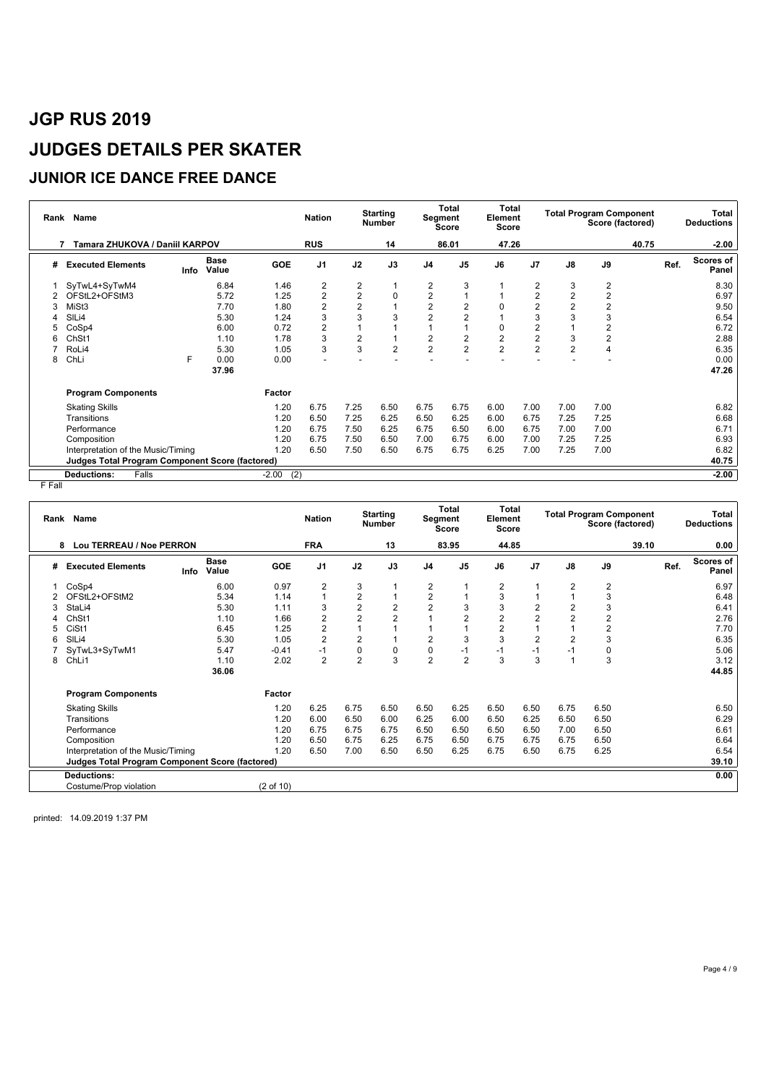### **JUNIOR ICE DANCE FREE DANCE**

| Rank | Name                                                   |      |                      |                | <b>Nation</b>  |                         | <b>Starting</b><br><b>Number</b> | Segment                 | Total<br><b>Score</b>   | Total<br>Element<br><b>Score</b> |                         |                | <b>Total Program Component</b><br>Score (factored) |       |      | Total<br><b>Deductions</b> |
|------|--------------------------------------------------------|------|----------------------|----------------|----------------|-------------------------|----------------------------------|-------------------------|-------------------------|----------------------------------|-------------------------|----------------|----------------------------------------------------|-------|------|----------------------------|
|      | Tamara ZHUKOVA / Daniil KARPOV                         |      |                      |                | <b>RUS</b>     |                         | 14                               |                         | 86.01                   | 47.26                            |                         |                |                                                    | 40.75 |      | $-2.00$                    |
| #    | <b>Executed Elements</b>                               | Info | <b>Base</b><br>Value | <b>GOE</b>     | J <sub>1</sub> | J2                      | J3                               | J <sub>4</sub>          | J <sub>5</sub>          | J6                               | J <sub>7</sub>          | J8             | J9                                                 |       | Ref. | <b>Scores of</b><br>Panel  |
|      | SyTwL4+SyTwM4                                          |      | 6.84                 | 1.46           | 2              | 2                       | 1                                | 2                       | 3                       |                                  | 2                       | 3              | 2                                                  |       |      | 8.30                       |
|      | OFStL2+OFStM3                                          |      | 5.72                 | 1.25           | 2              | $\overline{\mathbf{c}}$ | 0                                | $\overline{\mathbf{c}}$ | 1                       |                                  | 2                       | 2              | $\overline{2}$                                     |       |      | 6.97                       |
| 3    | MiSt3                                                  |      | 7.70                 | 1.80           | $\overline{2}$ | $\overline{2}$          |                                  | $\overline{c}$          | $\overline{2}$          | 0                                | 2                       | 2              | $\overline{2}$                                     |       |      | 9.50                       |
|      | SIL <sub>i4</sub>                                      |      | 5.30                 | 1.24           | 3              | 3                       | 3                                | 2                       | $\overline{2}$          |                                  | 3                       | 3              | 3                                                  |       |      | 6.54                       |
|      | CoSp4                                                  |      | 6.00                 | 0.72           | 2              |                         |                                  |                         |                         | 0                                | 2                       |                | 2                                                  |       |      | 6.72                       |
|      | ChSt1                                                  |      | 1.10                 | 1.78           | 3              | $\overline{c}$          |                                  | $\overline{2}$          | $\overline{\mathbf{c}}$ | $\overline{2}$                   | $\overline{\mathbf{c}}$ | 3              | $\overline{2}$                                     |       |      | 2.88                       |
|      | RoLi4                                                  |      | 5.30                 | 1.05           | 3              | 3                       | $\overline{2}$                   | $\overline{2}$          | $\overline{2}$          | $\overline{2}$                   | $\overline{2}$          | $\overline{2}$ | 4                                                  |       |      | 6.35                       |
| 8    | ChLi                                                   | F    | 0.00                 | 0.00           |                |                         |                                  |                         |                         |                                  |                         |                |                                                    |       |      | 0.00                       |
|      |                                                        |      | 37.96                |                |                |                         |                                  |                         |                         |                                  |                         |                |                                                    |       |      | 47.26                      |
|      | <b>Program Components</b>                              |      |                      | Factor         |                |                         |                                  |                         |                         |                                  |                         |                |                                                    |       |      |                            |
|      | <b>Skating Skills</b>                                  |      |                      | 1.20           | 6.75           | 7.25                    | 6.50                             | 6.75                    | 6.75                    | 6.00                             | 7.00                    | 7.00           | 7.00                                               |       |      | 6.82                       |
|      | Transitions                                            |      |                      | 1.20           | 6.50           | 7.25                    | 6.25                             | 6.50                    | 6.25                    | 6.00                             | 6.75                    | 7.25           | 7.25                                               |       |      | 6.68                       |
|      | Performance                                            |      |                      | 1.20           | 6.75           | 7.50                    | 6.25                             | 6.75                    | 6.50                    | 6.00                             | 6.75                    | 7.00           | 7.00                                               |       |      | 6.71                       |
|      | Composition                                            |      |                      | 1.20           | 6.75           | 7.50                    | 6.50                             | 7.00                    | 6.75                    | 6.00                             | 7.00                    | 7.25           | 7.25                                               |       |      | 6.93                       |
|      | Interpretation of the Music/Timing                     |      |                      | 1.20           | 6.50           | 7.50                    | 6.50                             | 6.75                    | 6.75                    | 6.25                             | 7.00                    | 7.25           | 7.00                                               |       |      | 6.82                       |
|      | <b>Judges Total Program Component Score (factored)</b> |      |                      |                |                |                         |                                  |                         |                         |                                  |                         |                |                                                    |       |      | 40.75                      |
|      | Falls<br><b>Deductions:</b>                            |      |                      | $-2.00$<br>(2) |                |                         |                                  |                         |                         |                                  |                         |                |                                                    |       |      | $-2.00$                    |

F Fall

|   | Rank Name                                              |                              |            | <b>Nation</b>  |                | <b>Starting</b><br><b>Number</b> |                | <b>Total</b><br>Segment<br><b>Score</b> | <b>Total</b><br>Element<br>Score |                |                | <b>Total Program Component</b><br>Score (factored) |       |      | Total<br><b>Deductions</b> |
|---|--------------------------------------------------------|------------------------------|------------|----------------|----------------|----------------------------------|----------------|-----------------------------------------|----------------------------------|----------------|----------------|----------------------------------------------------|-------|------|----------------------------|
|   | Lou TERREAU / Noe PERRON<br>8                          |                              |            | <b>FRA</b>     |                | 13                               |                | 83.95                                   | 44.85                            |                |                |                                                    | 39.10 |      | 0.00                       |
| # | <b>Executed Elements</b>                               | <b>Base</b><br>Value<br>Info | <b>GOE</b> | J <sub>1</sub> | J2             | J3                               | J <sub>4</sub> | J <sub>5</sub>                          | J6                               | J <sub>7</sub> | J8             | J9                                                 |       | Ref. | Scores of<br>Panel         |
|   | CoSp4                                                  | 6.00                         | 0.97       | $\overline{2}$ | 3              |                                  | 2              | 1                                       | 2                                |                | 2              | $\overline{2}$                                     |       |      | 6.97                       |
|   | OFStL2+OFStM2                                          | 5.34                         | 1.14       |                | 2              |                                  | $\overline{2}$ | 1                                       | 3                                |                |                | 3                                                  |       |      | 6.48                       |
| 3 | StaLi4                                                 | 5.30                         | 1.11       | 3              | $\overline{2}$ | $\overline{2}$                   | 2              | 3                                       | 3                                | $\overline{c}$ | 2              | 3                                                  |       |      | 6.41                       |
|   | ChSt1                                                  | 1.10                         | 1.66       | $\overline{2}$ | $\overline{2}$ | $\overline{2}$                   |                | $\overline{2}$                          | $\overline{2}$                   | $\overline{2}$ | $\overline{2}$ | $\overline{2}$                                     |       |      | 2.76                       |
|   | CiSt1                                                  | 6.45                         | 1.25       | $\overline{2}$ |                |                                  |                |                                         | $\overline{2}$                   |                |                | $\overline{2}$                                     |       |      | 7.70                       |
| 6 | SIL <sub>i4</sub>                                      | 5.30                         | 1.05       | $\overline{2}$ | $\overline{2}$ |                                  | 2              | 3                                       | 3                                | $\overline{2}$ | $\overline{2}$ | 3                                                  |       |      | 6.35                       |
|   | SyTwL3+SyTwM1                                          | 5.47                         | $-0.41$    | -1             | 0              | $\mathbf 0$                      | 0              | $-1$                                    | $-1$                             | $-1$           | $-1$           | 0                                                  |       |      | 5.06                       |
| 8 | ChLi1                                                  | 1.10                         | 2.02       | $\overline{2}$ | $\overline{2}$ | 3                                | $\overline{2}$ | $\overline{2}$                          | 3                                | 3              |                | 3                                                  |       |      | 3.12                       |
|   |                                                        | 36.06                        |            |                |                |                                  |                |                                         |                                  |                |                |                                                    |       |      | 44.85                      |
|   | <b>Program Components</b>                              |                              | Factor     |                |                |                                  |                |                                         |                                  |                |                |                                                    |       |      |                            |
|   | <b>Skating Skills</b>                                  |                              | 1.20       | 6.25           | 6.75           | 6.50                             | 6.50           | 6.25                                    | 6.50                             | 6.50           | 6.75           | 6.50                                               |       |      | 6.50                       |
|   | Transitions                                            |                              | 1.20       | 6.00           | 6.50           | 6.00                             | 6.25           | 6.00                                    | 6.50                             | 6.25           | 6.50           | 6.50                                               |       |      | 6.29                       |
|   | Performance                                            |                              | 1.20       | 6.75           | 6.75           | 6.75                             | 6.50           | 6.50                                    | 6.50                             | 6.50           | 7.00           | 6.50                                               |       |      | 6.61                       |
|   | Composition                                            |                              | 1.20       | 6.50           | 6.75           | 6.25                             | 6.75           | 6.50                                    | 6.75                             | 6.75           | 6.75           | 6.50                                               |       |      | 6.64                       |
|   | Interpretation of the Music/Timing                     |                              | 1.20       | 6.50           | 7.00           | 6.50                             | 6.50           | 6.25                                    | 6.75                             | 6.50           | 6.75           | 6.25                                               |       |      | 6.54                       |
|   | <b>Judges Total Program Component Score (factored)</b> |                              |            |                |                |                                  |                |                                         |                                  |                |                |                                                    |       |      | 39.10                      |
|   | Deductions:                                            |                              |            |                |                |                                  |                |                                         |                                  |                |                |                                                    |       |      | 0.00                       |
|   | Costume/Prop violation                                 |                              | (2 of 10)  |                |                |                                  |                |                                         |                                  |                |                |                                                    |       |      |                            |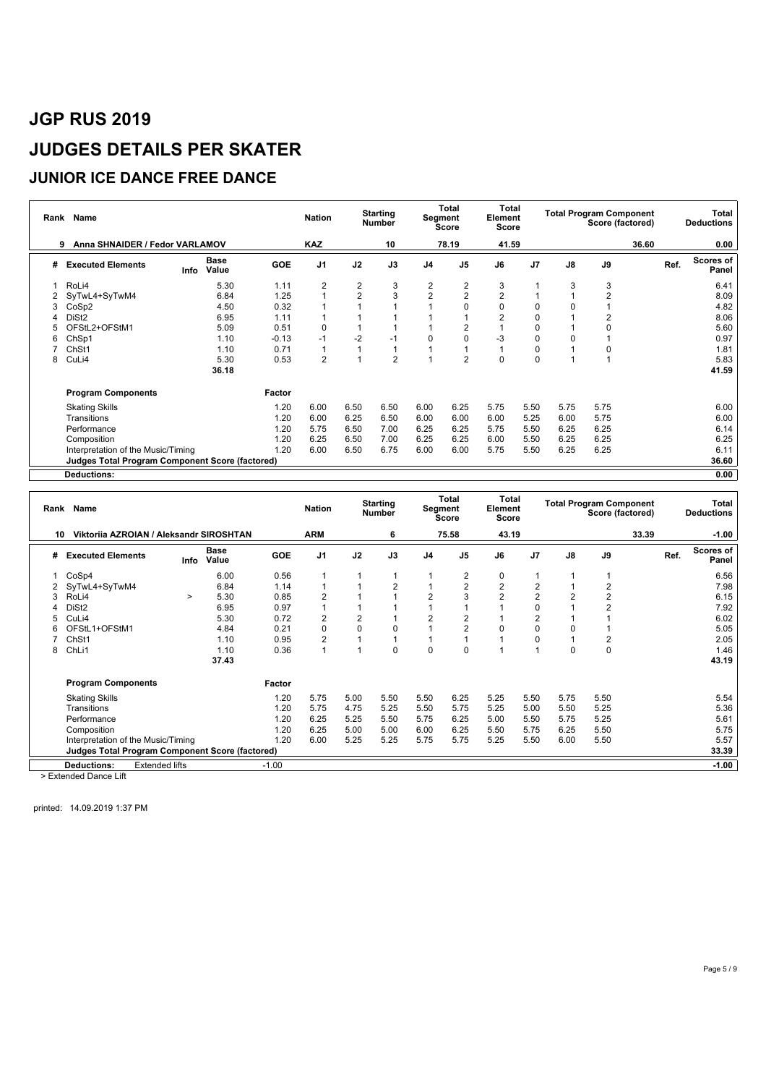### **JUNIOR ICE DANCE FREE DANCE**

| Rank | Name                                            |                              |       |            | <b>Nation</b>  |                | <b>Starting</b><br><b>Number</b> |                         | <b>Total</b><br>Segment<br><b>Score</b> | Total<br>Element<br><b>Score</b> |      |          | <b>Total Program Component</b> | Score (factored) |      | Total<br><b>Deductions</b> |
|------|-------------------------------------------------|------------------------------|-------|------------|----------------|----------------|----------------------------------|-------------------------|-----------------------------------------|----------------------------------|------|----------|--------------------------------|------------------|------|----------------------------|
|      | Anna SHNAIDER / Fedor VARLAMOV<br>9             |                              |       |            | <b>KAZ</b>     |                | 10                               |                         | 78.19                                   | 41.59                            |      |          |                                | 36.60            |      | 0.00                       |
| #    | <b>Executed Elements</b>                        | <b>Base</b><br>Value<br>Info |       | <b>GOE</b> | J <sub>1</sub> | J2             | J3                               | J <sub>4</sub>          | J <sub>5</sub>                          | J6                               | J7   | J8       | J9                             |                  | Ref. | <b>Scores of</b><br>Panel  |
|      | RoLi4                                           |                              | 5.30  | 1.11       | $\overline{2}$ | $\overline{2}$ | 3                                | $\overline{\mathbf{c}}$ | $\overline{\mathbf{c}}$                 | 3                                |      | 3        | 3                              |                  |      | 6.41                       |
|      | SyTwL4+SyTwM4                                   |                              | 6.84  | 1.25       |                | $\overline{2}$ | 3                                | $\overline{2}$          | $\overline{2}$                          | $\overline{2}$                   |      |          | $\overline{2}$                 |                  |      | 8.09                       |
|      | CoSp2                                           |                              | 4.50  | 0.32       |                |                |                                  |                         | 0                                       | 0                                | 0    | 0        |                                |                  |      | 4.82                       |
|      | DiSt <sub>2</sub>                               |                              | 6.95  | 1.11       |                |                |                                  |                         |                                         | 2                                | 0    |          | 2                              |                  |      | 8.06                       |
|      | OFStL2+OFStM1                                   |                              | 5.09  | 0.51       | $\Omega$       |                |                                  |                         | $\overline{2}$                          |                                  | 0    |          | O                              |                  |      | 5.60                       |
| 6    | ChSp1                                           |                              | 1.10  | $-0.13$    | $-1$           | $-2$           | $-1$                             | 0                       | 0                                       | -3                               | 0    | $\Omega$ |                                |                  |      | 0.97                       |
|      | ChSt1                                           |                              | 1.10  | 0.71       |                |                |                                  | 1                       | 1                                       |                                  | 0    |          | 0                              |                  |      | 1.81                       |
| 8    | CuLi4                                           |                              | 5.30  | 0.53       | $\overline{2}$ |                | $\overline{2}$                   | $\overline{1}$          | $\overline{2}$                          | $\Omega$                         | 0    |          |                                |                  |      | 5.83                       |
|      |                                                 |                              | 36.18 |            |                |                |                                  |                         |                                         |                                  |      |          |                                |                  |      | 41.59                      |
|      | <b>Program Components</b>                       |                              |       | Factor     |                |                |                                  |                         |                                         |                                  |      |          |                                |                  |      |                            |
|      | <b>Skating Skills</b>                           |                              |       | 1.20       | 6.00           | 6.50           | 6.50                             | 6.00                    | 6.25                                    | 5.75                             | 5.50 | 5.75     | 5.75                           |                  |      | 6.00                       |
|      | Transitions                                     |                              |       | 1.20       | 6.00           | 6.25           | 6.50                             | 6.00                    | 6.00                                    | 6.00                             | 5.25 | 6.00     | 5.75                           |                  |      | 6.00                       |
|      | Performance                                     |                              |       | 1.20       | 5.75           | 6.50           | 7.00                             | 6.25                    | 6.25                                    | 5.75                             | 5.50 | 6.25     | 6.25                           |                  |      | 6.14                       |
|      | Composition                                     |                              |       | 1.20       | 6.25           | 6.50           | 7.00                             | 6.25                    | 6.25                                    | 6.00                             | 5.50 | 6.25     | 6.25                           |                  |      | 6.25                       |
|      | Interpretation of the Music/Timing              |                              |       | 1.20       | 6.00           | 6.50           | 6.75                             | 6.00                    | 6.00                                    | 5.75                             | 5.50 | 6.25     | 6.25                           |                  |      | 6.11                       |
|      | Judges Total Program Component Score (factored) |                              |       |            |                |                |                                  |                         |                                         |                                  |      |          |                                |                  |      | 36.60                      |
|      | <b>Deductions:</b>                              |                              |       |            |                |                |                                  |                         |                                         |                                  |      |          |                                |                  |      | 0.00                       |

| Rank | Name                                                   |        |                      |            | <b>Nation</b>  |                | <b>Starting</b><br><b>Number</b> | Segment        | Total<br>Score | Total<br>Element<br>Score |                |          | <b>Total Program Component</b><br>Score (factored) |       |      | Total<br><b>Deductions</b> |
|------|--------------------------------------------------------|--------|----------------------|------------|----------------|----------------|----------------------------------|----------------|----------------|---------------------------|----------------|----------|----------------------------------------------------|-------|------|----------------------------|
| 10   | Viktorija AZROIAN / Aleksandr SIROSHTAN                |        |                      |            | <b>ARM</b>     |                | 6                                |                | 75.58          | 43.19                     |                |          |                                                    | 33.39 |      | $-1.00$                    |
| #    | <b>Executed Elements</b>                               | Info   | <b>Base</b><br>Value | <b>GOE</b> | J <sub>1</sub> | J2             | J3                               | J <sub>4</sub> | J <sub>5</sub> | J6                        | J <sub>7</sub> | J8       | J9                                                 |       | Ref. | Scores of<br>Panel         |
|      | CoSp4                                                  |        | 6.00                 | 0.56       |                |                | 1                                | 1              | $\overline{2}$ | 0                         |                |          |                                                    |       |      | 6.56                       |
|      | SyTwL4+SyTwM4                                          |        | 6.84                 | 1.14       |                |                | $\overline{2}$                   | 1              | $\overline{2}$ | $\overline{2}$            | $\overline{2}$ |          | 2                                                  |       |      | 7.98                       |
| 3    | RoLi4                                                  | $\geq$ | 5.30                 | 0.85       |                |                |                                  | 2              | 3              | $\overline{2}$            | $\overline{2}$ | 2        | $\overline{2}$                                     |       |      | 6.15                       |
|      | DiSt <sub>2</sub>                                      |        | 6.95                 | 0.97       |                |                |                                  |                |                |                           | 0              |          |                                                    |       |      | 7.92                       |
| 5    | CuLi4                                                  |        | 5.30                 | 0.72       |                | $\overline{2}$ |                                  | 2              | 2              |                           | $\overline{2}$ |          |                                                    |       |      | 6.02                       |
| 6    | OFStL1+OFStM1                                          |        | 4.84                 | 0.21       |                | 0              | 0                                |                | $\overline{2}$ | 0                         | $\mathbf 0$    |          |                                                    |       |      | 5.05                       |
|      | ChSt1                                                  |        | 1.10                 | 0.95       |                |                |                                  |                |                |                           | $\mathbf 0$    |          | $\overline{2}$                                     |       |      | 2.05                       |
| 8    | ChLi1                                                  |        | 1.10                 | 0.36       |                |                | $\Omega$                         | 0              | $\Omega$       |                           |                | $\Omega$ | $\mathbf 0$                                        |       |      | 1.46                       |
|      |                                                        |        | 37.43                |            |                |                |                                  |                |                |                           |                |          |                                                    |       |      | 43.19                      |
|      | <b>Program Components</b>                              |        |                      | Factor     |                |                |                                  |                |                |                           |                |          |                                                    |       |      |                            |
|      | <b>Skating Skills</b>                                  |        |                      | 1.20       | 5.75           | 5.00           | 5.50                             | 5.50           | 6.25           | 5.25                      | 5.50           | 5.75     | 5.50                                               |       |      | 5.54                       |
|      | Transitions                                            |        |                      | 1.20       | 5.75           | 4.75           | 5.25                             | 5.50           | 5.75           | 5.25                      | 5.00           | 5.50     | 5.25                                               |       |      | 5.36                       |
|      | Performance                                            |        |                      | 1.20       | 6.25           | 5.25           | 5.50                             | 5.75           | 6.25           | 5.00                      | 5.50           | 5.75     | 5.25                                               |       |      | 5.61                       |
|      | Composition                                            |        |                      | 1.20       | 6.25           | 5.00           | 5.00                             | 6.00           | 6.25           | 5.50                      | 5.75           | 6.25     | 5.50                                               |       |      | 5.75                       |
|      | Interpretation of the Music/Timing                     |        |                      | 1.20       | 6.00           | 5.25           | 5.25                             | 5.75           | 5.75           | 5.25                      | 5.50           | 6.00     | 5.50                                               |       |      | 5.57                       |
|      | <b>Judges Total Program Component Score (factored)</b> |        |                      |            |                |                |                                  |                |                |                           |                |          |                                                    |       |      | 33.39                      |
|      | <b>Extended lifts</b><br><b>Deductions:</b>            |        |                      | $-1.00$    |                |                |                                  |                |                |                           |                |          |                                                    |       |      | $-1.00$                    |

> Extended Dance Lift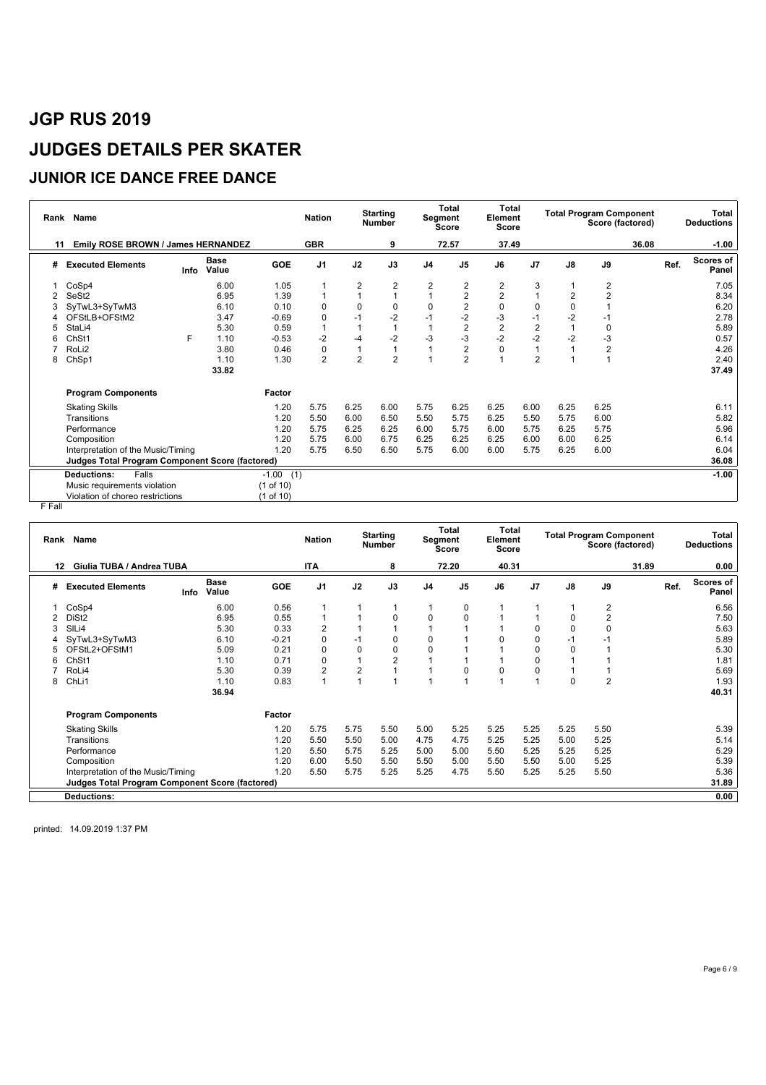### **JUNIOR ICE DANCE FREE DANCE**

|    | Rank Name                                              |      |                      |                | <b>Nation</b>  |                | <b>Starting</b><br><b>Number</b> |                | <b>Total</b><br>Segment<br><b>Score</b> | Total<br>Element<br><b>Score</b> |                |                | <b>Total Program Component</b><br>Score (factored) |       | Total<br><b>Deductions</b> |
|----|--------------------------------------------------------|------|----------------------|----------------|----------------|----------------|----------------------------------|----------------|-----------------------------------------|----------------------------------|----------------|----------------|----------------------------------------------------|-------|----------------------------|
| 11 | Emily ROSE BROWN / James HERNANDEZ                     |      |                      |                | <b>GBR</b>     |                | 9                                |                | 72.57                                   | 37.49                            |                |                |                                                    | 36.08 | $-1.00$                    |
| #  | <b>Executed Elements</b>                               | Info | <b>Base</b><br>Value | GOE            | J <sub>1</sub> | J2             | J3                               | J <sub>4</sub> | J <sub>5</sub>                          | J6                               | J7             | J8             | J9                                                 | Ref.  | Scores of<br>Panel         |
|    | CoSp4                                                  |      | 6.00                 | 1.05           |                | 2              | 2                                | 2              | 2                                       | 2                                | 3              |                | 2                                                  |       | 7.05                       |
|    | SeSt2                                                  |      | 6.95                 | 1.39           |                |                | 1                                | 1              | $\mathbf 2$                             | $\overline{\mathbf{c}}$          |                | $\overline{2}$ | $\overline{2}$                                     |       | 8.34                       |
|    | SyTwL3+SyTwM3                                          |      | 6.10                 | 0.10           | $\Omega$       | 0              | 0                                | 0              | $\overline{2}$                          | $\mathbf 0$                      | 0              | 0              |                                                    |       | 6.20                       |
|    | OFStLB+OFStM2                                          |      | 3.47                 | $-0.69$        | 0              | $-1$           | -2                               | $-1$           | $-2$                                    | -3                               | $-1$           | $-2$           | -1                                                 |       | 2.78                       |
| 5  | StaLi4                                                 |      | 5.30                 | 0.59           |                |                |                                  |                | $\overline{2}$                          | $\overline{c}$                   | $\overline{c}$ |                | 0                                                  |       | 5.89                       |
| 6  | ChSt1                                                  | F.   | 1.10                 | $-0.53$        | $-2$           | -4             | $-2$                             | $-3$           | $-3$                                    | $-2$                             | $-2$           | $-2$           | -3                                                 |       | 0.57                       |
|    | RoLi <sub>2</sub>                                      |      | 3.80                 | 0.46           | $\Omega$       |                | 1                                |                | $\overline{2}$                          | $\Omega$                         |                |                | 2                                                  |       | 4.26                       |
| 8  | ChSp1                                                  |      | 1.10                 | 1.30           | $\overline{2}$ | $\overline{2}$ | $\overline{2}$                   |                | $\overline{2}$                          |                                  | $\overline{2}$ |                |                                                    |       | 2.40                       |
|    |                                                        |      | 33.82                |                |                |                |                                  |                |                                         |                                  |                |                |                                                    |       | 37.49                      |
|    | <b>Program Components</b>                              |      |                      | Factor         |                |                |                                  |                |                                         |                                  |                |                |                                                    |       |                            |
|    | <b>Skating Skills</b>                                  |      |                      | 1.20           | 5.75           | 6.25           | 6.00                             | 5.75           | 6.25                                    | 6.25                             | 6.00           | 6.25           | 6.25                                               |       | 6.11                       |
|    | Transitions                                            |      |                      | 1.20           | 5.50           | 6.00           | 6.50                             | 5.50           | 5.75                                    | 6.25                             | 5.50           | 5.75           | 6.00                                               |       | 5.82                       |
|    | Performance                                            |      |                      | 1.20           | 5.75           | 6.25           | 6.25                             | 6.00           | 5.75                                    | 6.00                             | 5.75           | 6.25           | 5.75                                               |       | 5.96                       |
|    | Composition                                            |      |                      | 1.20           | 5.75           | 6.00           | 6.75                             | 6.25           | 6.25                                    | 6.25                             | 6.00           | 6.00           | 6.25                                               |       | 6.14                       |
|    | Interpretation of the Music/Timing                     |      |                      | 1.20           | 5.75           | 6.50           | 6.50                             | 5.75           | 6.00                                    | 6.00                             | 5.75           | 6.25           | 6.00                                               |       | 6.04                       |
|    | <b>Judges Total Program Component Score (factored)</b> |      |                      |                |                |                |                                  |                |                                         |                                  |                |                |                                                    |       | 36.08                      |
|    | Falls<br><b>Deductions:</b>                            |      |                      | $-1.00$<br>(1) |                |                |                                  |                |                                         |                                  |                |                |                                                    |       | $-1.00$                    |
|    | Music requirements violation                           |      |                      | (1 of 10)      |                |                |                                  |                |                                         |                                  |                |                |                                                    |       |                            |
|    | Violation of choreo restrictions                       |      |                      | (1 of 10)      |                |                |                                  |                |                                         |                                  |                |                |                                                    |       |                            |

F Fall

|    | Rank Name                                       |                      |         | <b>Nation</b>  |             | <b>Starting</b><br><b>Number</b> |                | <b>Total</b><br>Segment<br><b>Score</b> | <b>Total</b><br>Element<br><b>Score</b> |                |      | <b>Total Program Component</b><br>Score (factored) |       |      | Total<br><b>Deductions</b> |
|----|-------------------------------------------------|----------------------|---------|----------------|-------------|----------------------------------|----------------|-----------------------------------------|-----------------------------------------|----------------|------|----------------------------------------------------|-------|------|----------------------------|
| 12 | Giulia TUBA / Andrea TUBA                       |                      |         | <b>ITA</b>     |             | 8                                |                | 72.20                                   | 40.31                                   |                |      |                                                    | 31.89 |      | 0.00                       |
| #  | <b>Executed Elements</b><br>Info                | <b>Base</b><br>Value | GOE     | J <sub>1</sub> | J2          | J3                               | J <sub>4</sub> | J <sub>5</sub>                          | J6                                      | J <sub>7</sub> | J8   | J9                                                 |       | Ref. | <b>Scores of</b><br>Panel  |
|    | CoSp4                                           | 6.00                 | 0.56    |                |             |                                  |                | 0                                       |                                         |                |      | 2                                                  |       |      | 6.56                       |
|    | DiSt <sub>2</sub>                               | 6.95                 | 0.55    |                |             | 0                                | $\Omega$       | $\mathbf 0$                             |                                         |                | 0    | $\overline{2}$                                     |       |      | 7.50                       |
| 3  | SILi4                                           | 5.30                 | 0.33    | $\overline{2}$ |             |                                  |                |                                         |                                         | $\Omega$       | 0    | $\Omega$                                           |       |      | 5.63                       |
|    | SyTwL3+SyTwM3                                   | 6.10                 | $-0.21$ | $\Omega$       | $-1$        | $\mathbf 0$                      | 0              |                                         | $\Omega$                                | $\mathbf 0$    | -1   | $-1$                                               |       |      | 5.89                       |
| 5  | OFStL2+OFStM1                                   | 5.09                 | 0.21    | $\Omega$       | $\mathbf 0$ | $\mathbf 0$                      | 0              |                                         |                                         | $\mathbf 0$    | 0    |                                                    |       |      | 5.30                       |
| 6  | ChSt1                                           | 1.10                 | 0.71    | 0              |             | $\overline{2}$                   |                |                                         |                                         | 0              |      |                                                    |       |      | 1.81                       |
|    | RoLi4                                           | 5.30                 | 0.39    | $\overline{2}$ | 2           |                                  |                | $\mathbf 0$                             | $\Omega$                                | $\mathbf 0$    |      |                                                    |       |      | 5.69                       |
| 8  | ChLi1                                           | 1.10                 | 0.83    |                |             |                                  |                |                                         |                                         |                | 0    | $\overline{2}$                                     |       |      | 1.93                       |
|    |                                                 | 36.94                |         |                |             |                                  |                |                                         |                                         |                |      |                                                    |       |      | 40.31                      |
|    | <b>Program Components</b>                       |                      | Factor  |                |             |                                  |                |                                         |                                         |                |      |                                                    |       |      |                            |
|    | <b>Skating Skills</b>                           |                      | 1.20    | 5.75           | 5.75        | 5.50                             | 5.00           | 5.25                                    | 5.25                                    | 5.25           | 5.25 | 5.50                                               |       |      | 5.39                       |
|    | Transitions                                     |                      | 1.20    | 5.50           | 5.50        | 5.00                             | 4.75           | 4.75                                    | 5.25                                    | 5.25           | 5.00 | 5.25                                               |       |      | 5.14                       |
|    | Performance                                     |                      | 1.20    | 5.50           | 5.75        | 5.25                             | 5.00           | 5.00                                    | 5.50                                    | 5.25           | 5.25 | 5.25                                               |       |      | 5.29                       |
|    | Composition                                     |                      | 1.20    | 6.00           | 5.50        | 5.50                             | 5.50           | 5.00                                    | 5.50                                    | 5.50           | 5.00 | 5.25                                               |       |      | 5.39                       |
|    | Interpretation of the Music/Timing              |                      | 1.20    | 5.50           | 5.75        | 5.25                             | 5.25           | 4.75                                    | 5.50                                    | 5.25           | 5.25 | 5.50                                               |       |      | 5.36                       |
|    | Judges Total Program Component Score (factored) |                      |         |                |             |                                  |                |                                         |                                         |                |      |                                                    |       |      | 31.89                      |
|    | <b>Deductions:</b>                              |                      |         |                |             |                                  |                |                                         |                                         |                |      |                                                    |       |      | 0.00                       |
|    |                                                 |                      |         |                |             |                                  |                |                                         |                                         |                |      |                                                    |       |      |                            |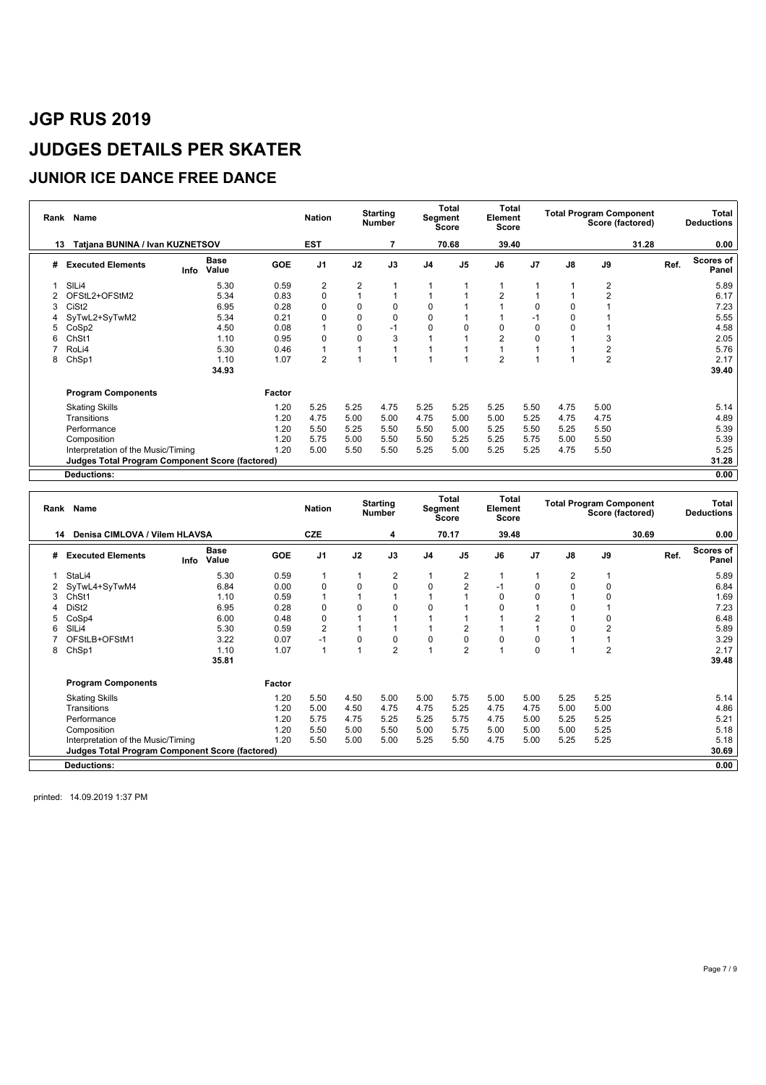### **JUNIOR ICE DANCE FREE DANCE**

|    | Rank Name                                       |      | <b>Nation</b>        | <b>Starting</b><br><b>Number</b> |                |                | <b>Total</b><br>Segment<br><b>Score</b> |                | Total<br>Element<br><b>Score</b> |                | <b>Total Program Component</b> | Score (factored) |                | Total<br><b>Deductions</b> |      |                    |
|----|-------------------------------------------------|------|----------------------|----------------------------------|----------------|----------------|-----------------------------------------|----------------|----------------------------------|----------------|--------------------------------|------------------|----------------|----------------------------|------|--------------------|
| 13 | Tatjana BUNINA / Ivan KUZNETSOV                 |      |                      |                                  | <b>EST</b>     |                |                                         |                | 70.68                            | 39.40          |                                |                  |                | 31.28                      |      | 0.00               |
| #  | <b>Executed Elements</b>                        | Info | <b>Base</b><br>Value | <b>GOE</b>                       | J <sub>1</sub> | J2             | J3                                      | J <sub>4</sub> | J5                               | J6             | J <sub>7</sub>                 | J8               | J9             |                            | Ref. | Scores of<br>Panel |
|    | SILi4                                           |      | 5.30                 | 0.59                             | 2              | $\overline{2}$ |                                         |                |                                  |                |                                |                  | 2              |                            |      | 5.89               |
|    | OFStL2+OFStM2                                   |      | 5.34                 | 0.83                             | 0              |                |                                         | 1              |                                  | 2              |                                |                  | $\overline{2}$ |                            |      | 6.17               |
|    | CiSt <sub>2</sub>                               |      | 6.95                 | 0.28                             | $\Omega$       | 0              | 0                                       | 0              |                                  |                | 0                              | 0                |                |                            |      | 7.23               |
|    | SyTwL2+SyTwM2                                   |      | 5.34                 | 0.21                             |                | 0              | 0                                       | 0              |                                  |                | $-1$                           | 0                |                |                            |      | 5.55               |
| 5  | CoSp2                                           |      | 4.50                 | 0.08                             |                | 0              | $-1$                                    | 0              | $\Omega$                         | 0              | 0                              | O                |                |                            |      | 4.58               |
| 6  | ChSt1                                           |      | 1.10                 | 0.95                             | O              | 0              | 3                                       |                |                                  | $\overline{2}$ | 0                              |                  | 3              |                            |      | 2.05               |
|    | RoLi4                                           |      | 5.30                 | 0.46                             |                |                |                                         |                |                                  | 1              |                                |                  | $\overline{2}$ |                            |      | 5.76               |
| 8  | ChSp1                                           |      | 1.10                 | 1.07                             | $\overline{2}$ |                | 1                                       | 1              | и                                | $\overline{2}$ | 4                              |                  | $\overline{2}$ |                            |      | 2.17               |
|    |                                                 |      | 34.93                |                                  |                |                |                                         |                |                                  |                |                                |                  |                |                            |      | 39.40              |
|    | <b>Program Components</b>                       |      |                      | Factor                           |                |                |                                         |                |                                  |                |                                |                  |                |                            |      |                    |
|    | <b>Skating Skills</b>                           |      |                      | 1.20                             | 5.25           | 5.25           | 4.75                                    | 5.25           | 5.25                             | 5.25           | 5.50                           | 4.75             | 5.00           |                            |      | 5.14               |
|    | Transitions                                     |      |                      | 1.20                             | 4.75           | 5.00           | 5.00                                    | 4.75           | 5.00                             | 5.00           | 5.25                           | 4.75             | 4.75           |                            |      | 4.89               |
|    | Performance                                     |      |                      | 1.20                             | 5.50           | 5.25           | 5.50                                    | 5.50           | 5.00                             | 5.25           | 5.50                           | 5.25             | 5.50           |                            |      | 5.39               |
|    | Composition                                     |      |                      | 1.20                             | 5.75           | 5.00           | 5.50                                    | 5.50           | 5.25                             | 5.25           | 5.75                           | 5.00             | 5.50           |                            |      | 5.39               |
|    | Interpretation of the Music/Timing              |      |                      | 1.20                             | 5.00           | 5.50           | 5.50                                    | 5.25           | 5.00                             | 5.25           | 5.25                           | 4.75             | 5.50           |                            |      | 5.25               |
|    | Judges Total Program Component Score (factored) |      |                      |                                  |                |                |                                         |                |                                  |                |                                |                  |                |                            |      | 31.28              |
|    | <b>Deductions:</b>                              |      |                      |                                  |                |                |                                         |                |                                  |                |                                |                  |                |                            |      | 0.00               |

|   | Rank Name                                       |      |               |            |                | <b>Starting</b><br><b>Nation</b><br><b>Number</b> |                |                | Total<br>Segment<br>Score |             | Total<br>Element<br><b>Score</b> |               | <b>Total Program Component</b><br>Score (factored) |       | Total<br><b>Deductions</b> |                           |
|---|-------------------------------------------------|------|---------------|------------|----------------|---------------------------------------------------|----------------|----------------|---------------------------|-------------|----------------------------------|---------------|----------------------------------------------------|-------|----------------------------|---------------------------|
|   | Denisa CIMLOVA / Vilem HLAVSA<br>14             |      |               |            | <b>CZE</b>     |                                                   | 4              |                | 70.17                     | 39.48       |                                  |               |                                                    | 30.69 |                            | 0.00                      |
| # | <b>Executed Elements</b>                        | Info | Base<br>Value | <b>GOE</b> | J <sub>1</sub> | J2                                                | J3             | J <sub>4</sub> | J <sub>5</sub>            | J6          | J <sub>7</sub>                   | $\mathsf{J}8$ | J9                                                 |       | Ref.                       | <b>Scores of</b><br>Panel |
|   | StaLi4                                          |      | 5.30          | 0.59       |                |                                                   | 2              |                | $\overline{2}$            |             |                                  | 2             |                                                    |       |                            | 5.89                      |
|   | SyTwL4+SyTwM4                                   |      | 6.84          | 0.00       | $\Omega$       | 0                                                 | $\mathbf 0$    | 0              | $\overline{2}$            | $-1$        | $\mathbf 0$                      | $\Omega$      | $\Omega$                                           |       |                            | 6.84                      |
| 3 | ChSt1                                           |      | 1.10          | 0.59       |                |                                                   |                |                |                           | $\mathbf 0$ | 0                                |               |                                                    |       |                            | 1.69                      |
|   | DiSt <sub>2</sub>                               |      | 6.95          | 0.28       | $\Omega$       | 0                                                 | $\mathbf 0$    | 0              |                           | 0           |                                  |               |                                                    |       |                            | 7.23                      |
| 5 | CoSp4                                           |      | 6.00          | 0.48       | $\Omega$       |                                                   |                |                |                           |             | $\overline{2}$                   |               | O                                                  |       |                            | 6.48                      |
| 6 | SIL <sub>i4</sub>                               |      | 5.30          | 0.59       | $\overline{2}$ |                                                   |                |                | $\overline{2}$            |             |                                  |               | $\overline{2}$                                     |       |                            | 5.89                      |
|   | OFStLB+OFStM1                                   |      | 3.22          | 0.07       | $-1$           | $\Omega$                                          | $\mathbf 0$    | 0              | 0                         | 0           | $\mathbf 0$                      |               |                                                    |       |                            | 3.29                      |
| 8 | ChSp1                                           |      | 1.10          | 1.07       |                |                                                   | $\overline{2}$ |                | $\overline{2}$            |             | $\mathbf 0$                      |               | $\overline{2}$                                     |       |                            | 2.17                      |
|   |                                                 |      | 35.81         |            |                |                                                   |                |                |                           |             |                                  |               |                                                    |       |                            | 39.48                     |
|   | <b>Program Components</b>                       |      |               | Factor     |                |                                                   |                |                |                           |             |                                  |               |                                                    |       |                            |                           |
|   | <b>Skating Skills</b>                           |      |               | 1.20       | 5.50           | 4.50                                              | 5.00           | 5.00           | 5.75                      | 5.00        | 5.00                             | 5.25          | 5.25                                               |       |                            | 5.14                      |
|   | Transitions                                     |      |               | 1.20       | 5.00           | 4.50                                              | 4.75           | 4.75           | 5.25                      | 4.75        | 4.75                             | 5.00          | 5.00                                               |       |                            | 4.86                      |
|   | Performance                                     |      |               | 1.20       | 5.75           | 4.75                                              | 5.25           | 5.25           | 5.75                      | 4.75        | 5.00                             | 5.25          | 5.25                                               |       |                            | 5.21                      |
|   | Composition                                     |      |               | 1.20       | 5.50           | 5.00                                              | 5.50           | 5.00           | 5.75                      | 5.00        | 5.00                             | 5.00          | 5.25                                               |       |                            | 5.18                      |
|   | Interpretation of the Music/Timing              |      |               | 1.20       | 5.50           | 5.00                                              | 5.00           | 5.25           | 5.50                      | 4.75        | 5.00                             | 5.25          | 5.25                                               |       |                            | 5.18                      |
|   | Judges Total Program Component Score (factored) |      |               |            |                |                                                   |                |                |                           |             |                                  |               |                                                    |       |                            | 30.69                     |
|   | <b>Deductions:</b>                              |      |               |            |                |                                                   |                |                |                           |             |                                  |               |                                                    |       |                            | 0.00                      |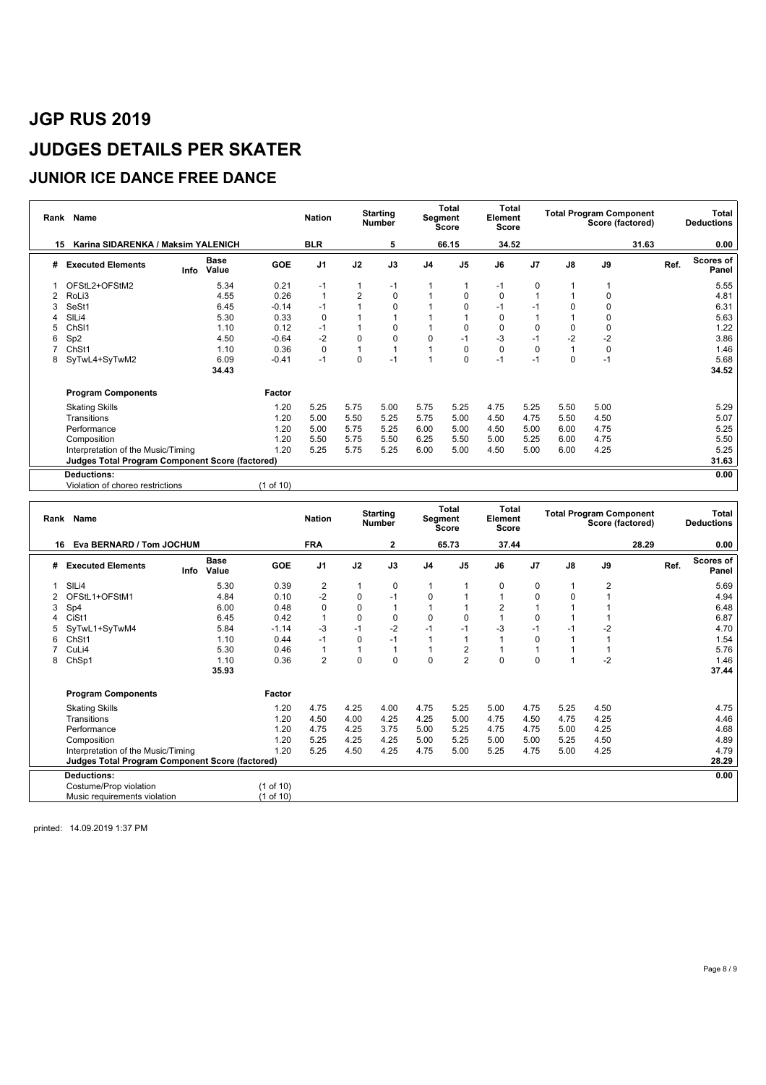### **JUNIOR ICE DANCE FREE DANCE**

| Rank | Name                                                   |                      | <b>Nation</b> | <b>Starting</b><br><b>Number</b> |                |              | <b>Total</b><br>Segment<br>Score |                | <b>Total</b><br>Element<br>Score | <b>Total Program Component</b><br>Score (factored) |          |             |       | Total<br><b>Deductions</b> |                           |
|------|--------------------------------------------------------|----------------------|---------------|----------------------------------|----------------|--------------|----------------------------------|----------------|----------------------------------|----------------------------------------------------|----------|-------------|-------|----------------------------|---------------------------|
| 15   | Karina SIDARENKA / Maksim YALENICH                     |                      |               | <b>BLR</b>                       |                | 5            |                                  | 66.15          | 34.52                            |                                                    |          |             | 31.63 |                            | 0.00                      |
| #    | <b>Executed Elements</b><br>Info                       | <b>Base</b><br>Value | <b>GOE</b>    | J <sub>1</sub>                   | J2             | J3           | J <sub>4</sub>                   | J <sub>5</sub> | J6                               | J <sub>7</sub>                                     | J8       | J9          |       | Ref.                       | <b>Scores of</b><br>Panel |
|      | OFStL2+OFStM2                                          | 5.34                 | 0.21          | $-1$                             |                | $-1$         |                                  |                | $-1$                             | $\mathbf 0$                                        |          |             |       |                            | 5.55                      |
|      | RoLi3                                                  | 4.55                 | 0.26          |                                  | $\overline{2}$ | $\pmb{0}$    |                                  | 0              | $\mathbf 0$                      |                                                    |          | 0           |       |                            | 4.81                      |
|      | SeSt1                                                  | 6.45                 | $-0.14$       | $-1$                             |                | 0            |                                  | $\Omega$       | $-1$                             | $-1$                                               | O        | $\Omega$    |       |                            | 6.31                      |
|      | SILi4                                                  | 5.30                 | 0.33          | $\Omega$                         |                |              |                                  |                | $\mathbf 0$                      |                                                    |          | 0           |       |                            | 5.63                      |
|      | ChSI1                                                  | 1.10                 | 0.12          | $-1$                             |                | 0            |                                  | $\mathbf 0$    | $\mathbf 0$                      | 0                                                  | 0        | $\mathbf 0$ |       |                            | 1.22                      |
| 6    | Sp <sub>2</sub>                                        | 4.50                 | $-0.64$       | $-2$                             | $\Omega$       | 0            | $\Omega$                         | $-1$           | -3                               | $-1$                                               | $-2$     | $-2$        |       |                            | 3.86                      |
|      | ChSt1                                                  | 1.10                 | 0.36          | $\Omega$                         |                | $\mathbf{1}$ |                                  | $\mathbf 0$    | $\Omega$                         | $\Omega$                                           |          | $\mathbf 0$ |       |                            | 1.46                      |
| 8    | SyTwL4+SyTwM2                                          | 6.09                 | $-0.41$       | $-1$                             | $\Omega$       | $-1$         |                                  | $\Omega$       | $-1$                             | $-1$                                               | $\Omega$ | $-1$        |       |                            | 5.68                      |
|      |                                                        | 34.43                |               |                                  |                |              |                                  |                |                                  |                                                    |          |             |       |                            | 34.52                     |
|      | <b>Program Components</b>                              |                      | Factor        |                                  |                |              |                                  |                |                                  |                                                    |          |             |       |                            |                           |
|      | <b>Skating Skills</b>                                  |                      | 1.20          | 5.25                             | 5.75           | 5.00         | 5.75                             | 5.25           | 4.75                             | 5.25                                               | 5.50     | 5.00        |       |                            | 5.29                      |
|      | Transitions                                            |                      | 1.20          | 5.00                             | 5.50           | 5.25         | 5.75                             | 5.00           | 4.50                             | 4.75                                               | 5.50     | 4.50        |       |                            | 5.07                      |
|      | Performance                                            |                      | 1.20          | 5.00                             | 5.75           | 5.25         | 6.00                             | 5.00           | 4.50                             | 5.00                                               | 6.00     | 4.75        |       |                            | 5.25                      |
|      | Composition                                            |                      | 1.20          | 5.50                             | 5.75           | 5.50         | 6.25                             | 5.50           | 5.00                             | 5.25                                               | 6.00     | 4.75        |       |                            | 5.50                      |
|      | Interpretation of the Music/Timing                     |                      | 1.20          | 5.25                             | 5.75           | 5.25         | 6.00                             | 5.00           | 4.50                             | 5.00                                               | 6.00     | 4.25        |       |                            | 5.25                      |
|      | <b>Judges Total Program Component Score (factored)</b> |                      |               |                                  |                |              |                                  |                |                                  |                                                    |          |             |       |                            | 31.63                     |
|      | <b>Deductions:</b>                                     |                      |               |                                  |                |              |                                  |                |                                  |                                                    |          |             |       |                            | 0.00                      |
|      | Violation of choreo restrictions                       |                      | (1 of 10)     |                                  |                |              |                                  |                |                                  |                                                    |          |             |       |                            |                           |

| Rank | Name                                                   |      |                      |            | <b>Nation</b>  |             | <b>Starting</b><br>Number |                | <b>Total</b><br>Segment<br><b>Score</b> | <b>Total</b><br>Element<br>Score |             |      | <b>Total Program Component</b><br>Score (factored) |       |      | Total<br><b>Deductions</b> |
|------|--------------------------------------------------------|------|----------------------|------------|----------------|-------------|---------------------------|----------------|-----------------------------------------|----------------------------------|-------------|------|----------------------------------------------------|-------|------|----------------------------|
|      | Eva BERNARD / Tom JOCHUM<br>16                         |      |                      |            | <b>FRA</b>     |             | 2                         |                | 65.73                                   | 37.44                            |             |      |                                                    | 28.29 |      | 0.00                       |
| #    | <b>Executed Elements</b>                               | Info | <b>Base</b><br>Value | <b>GOE</b> | J <sub>1</sub> | J2          | J3                        | J <sub>4</sub> | J <sub>5</sub>                          | J6                               | J7          | J8   | J9                                                 |       | Ref. | Scores of<br>Panel         |
|      | SILi4                                                  |      | 5.30                 | 0.39       | $\overline{2}$ |             | 0                         | 1              |                                         | 0                                | 0           |      | 2                                                  |       |      | 5.69                       |
|      | OFStL1+OFStM1                                          |      | 4.84                 | 0.10       | $-2$           | $\mathbf 0$ | $-1$                      | $\mathbf 0$    |                                         |                                  | $\Omega$    |      |                                                    |       |      | 4.94                       |
| 3    | Sp4                                                    |      | 6.00                 | 0.48       | $\Omega$       | 0           |                           |                | 1                                       | $\overline{2}$                   |             |      |                                                    |       |      | 6.48                       |
|      | CiSt1                                                  |      | 6.45                 | 0.42       |                | $\mathbf 0$ | $\mathbf 0$               | $\mathbf 0$    | $\mathbf 0$                             |                                  | $\Omega$    |      |                                                    |       |      | 6.87                       |
|      | SyTwL1+SyTwM4                                          |      | 5.84                 | $-1.14$    | $-3$           | $-1$        | $-2$                      | $-1$           | $-1$                                    | $-3$                             | $-1$        |      | $-2$                                               |       |      | 4.70                       |
| 6    | ChSt1                                                  |      | 1.10                 | 0.44       | $-1$           | $\mathbf 0$ | $-1$                      |                | 1                                       |                                  | 0           |      |                                                    |       |      | 1.54                       |
|      | CuLi4                                                  |      | 5.30                 | 0.46       |                |             | $\overline{1}$            | 1              | $\overline{c}$                          |                                  |             |      |                                                    |       |      | 5.76                       |
| 8    | ChSp1                                                  |      | 1.10                 | 0.36       | 2              | $\mathbf 0$ | $\mathbf 0$               | $\mathbf 0$    | $\overline{2}$                          | $\Omega$                         | $\mathbf 0$ |      | $-2$                                               |       |      | 1.46                       |
|      |                                                        |      | 35.93                |            |                |             |                           |                |                                         |                                  |             |      |                                                    |       |      | 37.44                      |
|      | <b>Program Components</b>                              |      |                      | Factor     |                |             |                           |                |                                         |                                  |             |      |                                                    |       |      |                            |
|      | <b>Skating Skills</b>                                  |      |                      | 1.20       | 4.75           | 4.25        | 4.00                      | 4.75           | 5.25                                    | 5.00                             | 4.75        | 5.25 | 4.50                                               |       |      | 4.75                       |
|      | Transitions                                            |      |                      | 1.20       | 4.50           | 4.00        | 4.25                      | 4.25           | 5.00                                    | 4.75                             | 4.50        | 4.75 | 4.25                                               |       |      | 4.46                       |
|      | Performance                                            |      |                      | 1.20       | 4.75           | 4.25        | 3.75                      | 5.00           | 5.25                                    | 4.75                             | 4.75        | 5.00 | 4.25                                               |       |      | 4.68                       |
|      | Composition                                            |      |                      | 1.20       | 5.25           | 4.25        | 4.25                      | 5.00           | 5.25                                    | 5.00                             | 5.00        | 5.25 | 4.50                                               |       |      | 4.89                       |
|      | Interpretation of the Music/Timing                     |      |                      | 1.20       | 5.25           | 4.50        | 4.25                      | 4.75           | 5.00                                    | 5.25                             | 4.75        | 5.00 | 4.25                                               |       |      | 4.79                       |
|      | <b>Judges Total Program Component Score (factored)</b> |      |                      |            |                |             |                           |                |                                         |                                  |             |      |                                                    |       |      | 28.29                      |
|      | <b>Deductions:</b>                                     |      |                      |            |                |             |                           |                |                                         |                                  |             |      |                                                    |       |      | 0.00                       |
|      | Costume/Prop violation                                 |      |                      | (1 of 10)  |                |             |                           |                |                                         |                                  |             |      |                                                    |       |      |                            |
|      | Music requirements violation                           |      |                      | (1 of 10)  |                |             |                           |                |                                         |                                  |             |      |                                                    |       |      |                            |